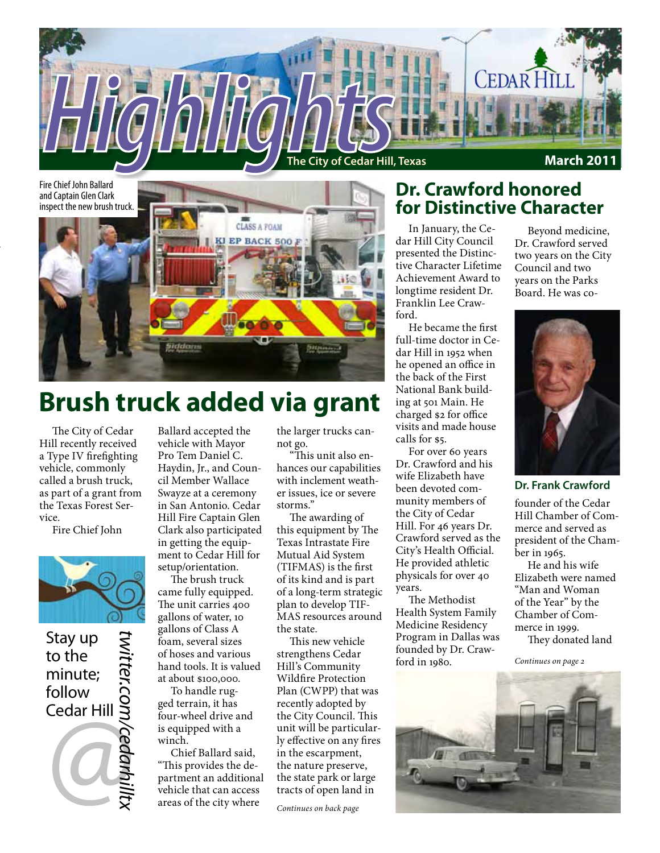

Fire Chief John Ballard and Captain Glen Clark

by classrooms of



# **Brush truck added via grant**

The City of Cedar Hill recently received a Type IV firefighting vehicle, commonly called a brush truck, as part of a grant from the Texas Forest Service.

Fire Chief John



Stay up to the minute; follow Stay up<br>to the<br>minute;<br>follow<br>Cedar Hill

*twitter.com/cedarhilltx*

Ballard accepted the vehicle with Mayor Pro Tem Daniel C. Haydin, Jr., and Council Member Wallace Swayze at a ceremony in San Antonio. Cedar Hill Fire Captain Glen Clark also participated in getting the equipment to Cedar Hill for setup/orientation.

The brush truck came fully equipped. The unit carries 400 gallons of water, 10 gallons of Class A foam, several sizes of hoses and various hand tools. It is valued at about \$100,000.

To handle rugged terrain, it has four-wheel drive and is equipped with a winch.

Chief Ballard said, "This provides the department an additional vehicle that can access areas of the city where

the larger trucks cannot go.

"This unit also enhances our capabilities with inclement weather issues, ice or severe storms."

The awarding of this equipment by The Texas Intrastate Fire Mutual Aid System (TIFMAS) is the first of its kind and is part of a long-term strategic plan to develop TIF-MAS resources around the state.

This new vehicle strengthens Cedar Hill's Community Wildfire Protection Plan (CWPP) that was recently adopted by the City Council. This unit will be particularly effective on any fires in the escarpment, the nature preserve, the state park or large tracts of open land in

# **Dr. Crawford honored for Distinctive Character**

In January, the Cedar Hill City Council presented the Distinctive Character Lifetime Achievement Award to longtime resident Dr. Franklin Lee Crawford.

He became the first full-time doctor in Cedar Hill in 1952 when he opened an office in the back of the First National Bank building at 501 Main. He charged \$2 for office visits and made house calls for \$5.

For over 60 years Dr. Crawford and his wife Elizabeth have been devoted community members of the City of Cedar Hill. For 46 years Dr. Crawford served as the City's Health Official. He provided athletic physicals for over 40 years.

The Methodist Health System Family Medicine Residency Program in Dallas was founded by Dr. Crawford in 1980.

Beyond medicine, Dr. Crawford served two years on the City Council and two years on the Parks Board. He was co-



#### **Dr. Frank Crawford**

founder of the Cedar Hill Chamber of Commerce and served as president of the Chamber in 1965.

He and his wife Elizabeth were named "Man and Woman of the Year" by the Chamber of Commerce in 1999. They donated land

*Continues on page 2*

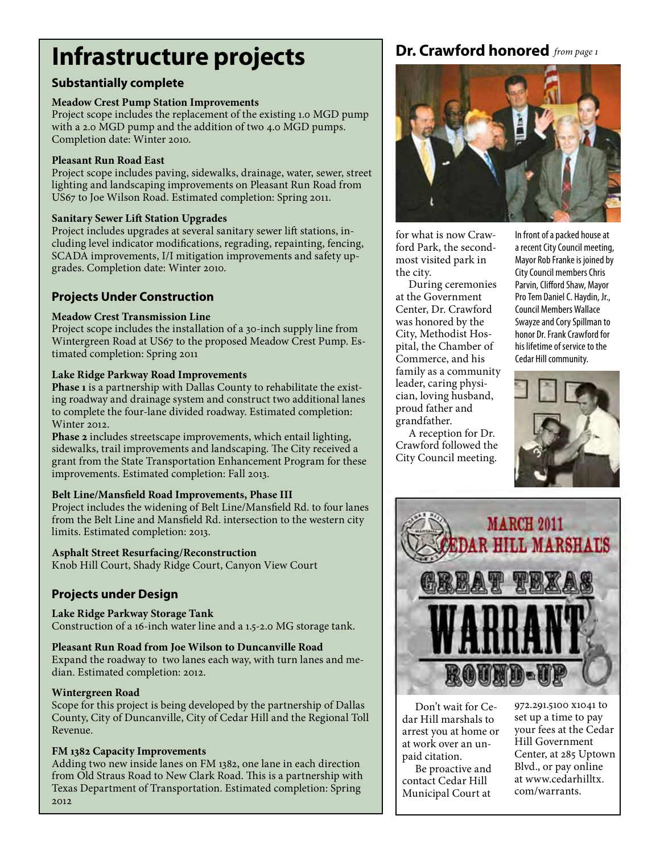# **Infrastructure projects**

# **Substantially complete**

# **Meadow Crest Pump Station Improvements**

Project scope includes the replacement of the existing 1.0 MGD pump with a 2.0 MGD pump and the addition of two 4.0 MGD pumps. Completion date: Winter 2010.

# **Pleasant Run Road East**

Project scope includes paving, sidewalks, drainage, water, sewer, street lighting and landscaping improvements on Pleasant Run Road from US67 to Joe Wilson Road. Estimated completion: Spring 2011.

# **Sanitary Sewer Lift Station Upgrades**

Project includes upgrades at several sanitary sewer lift stations, including level indicator modifications, regrading, repainting, fencing, SCADA improvements, I/I mitigation improvements and safety upgrades. Completion date: Winter 2010.

# **Projects Under Construction**

# **Meadow Crest Transmission Line**

Project scope includes the installation of a 30-inch supply line from Wintergreen Road at US67 to the proposed Meadow Crest Pump. Estimated completion: Spring 2011

# **Lake Ridge Parkway Road Improvements**

**Phase 1** is a partnership with Dallas County to rehabilitate the existing roadway and drainage system and construct two additional lanes to complete the four-lane divided roadway. Estimated completion: Winter 2012.

**Phase 2** includes streetscape improvements, which entail lighting, sidewalks, trail improvements and landscaping. The City received a grant from the State Transportation Enhancement Program for these improvements. Estimated completion: Fall 2013.

# **Belt Line/Mansfield Road Improvements, Phase III**

Project includes the widening of Belt Line/Mansfield Rd. to four lanes from the Belt Line and Mansfield Rd. intersection to the western city limits. Estimated completion: 2013.

## **Asphalt Street Resurfacing/Reconstruction**

Knob Hill Court, Shady Ridge Court, Canyon View Court

# **Projects under Design**

**Lake Ridge Parkway Storage Tank** Construction of a 16-inch water line and a 1.5-2.0 MG storage tank.

#### **Pleasant Run Road from Joe Wilson to Duncanville Road** Expand the roadway to two lanes each way, with turn lanes and median. Estimated completion: 2012.

# **Wintergreen Road**

Scope for this project is being developed by the partnership of Dallas County, City of Duncanville, City of Cedar Hill and the Regional Toll Revenue.

## **FM 1382 Capacity Improvements**

Adding two new inside lanes on FM 1382, one lane in each direction from Old Straus Road to New Clark Road. This is a partnership with Texas Department of Transportation. Estimated completion: Spring 2012

# **Dr. Crawford honored** *from page 1*



for what is now Crawford Park, the secondmost visited park in the city.

During ceremonies at the Government Center, Dr. Crawford was honored by the City, Methodist Hospital, the Chamber of Commerce, and his family as a community leader, caring physician, loving husband, proud father and grandfather.

A reception for Dr. Crawford followed the City Council meeting.

In front of a packed house at a recent City Council meeting, Mayor Rob Franke is joined by City Council members Chris Parvin, Clifford Shaw, Mayor Pro Tem Daniel C. Haydin, Jr., Council Members Wallace Swayze and Cory Spillman to honor Dr. Frank Crawford for his lifetime of service to the Cedar Hill community.





Don't wait for Cedar Hill marshals to arrest you at home or at work over an unpaid citation.

Be proactive and contact Cedar Hill Municipal Court at

972.291.5100 x1041 to set up a time to pay your fees at the Cedar Hill Government Center, at 285 Uptown Blvd., or pay online at www.cedarhilltx. com/warrants.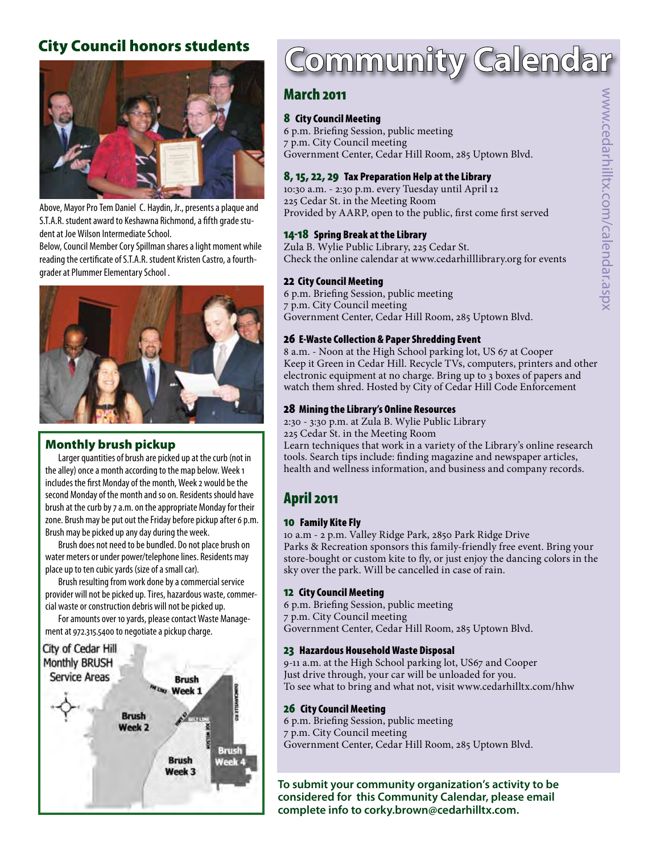# City Council honors students



Above, Mayor Pro Tem Daniel C. Haydin, Jr., presents a plaque and S.T.A.R. student award to Keshawna Richmond, a fifth grade student at Joe Wilson Intermediate School.

Below, Council Member Cory Spillman shares a light moment while reading the certificate of S.T.A.R. student Kristen Castro, a fourthgrader at Plummer Elementary School .



# Monthly brush pickup

Larger quantities of brush are picked up at the curb (not in the alley) once a month according to the map below. Week 1 includes the first Monday of the month, Week 2 would be the second Monday of the month and so on. Residents should have brush at the curb by 7 a.m. on the appropriate Monday for their zone. Brush may be put out the Friday before pickup after 6 p.m. Brush may be picked up any day during the week.

Brush does not need to be bundled. Do not place brush on water meters or under power/telephone lines. Residents may place up to ten cubic yards (size of a small car).

Brush resulting from work done by a commercial service provider will not be picked up. Tires, hazardous waste, commercial waste or construction debris will not be picked up.

For amounts over 10 yards, please contact Waste Management at 972.315.5400 to negotiate a pickup charge.



# Community Calendar

# March 2011

# 8 City Council Meeting

6 p.m. Briefing Session, public meeting 7 p.m. City Council meeting Government Center, Cedar Hill Room, 285 Uptown Blvd.

# 8, 15, 22, 29 Tax Preparation Help at the Library

10:30 a.m. - 2:30 p.m. every Tuesday until April 12 225 Cedar St. in the Meeting Room Provided by AARP, open to the public, first come first served

#### 14-18 Spring Break at the Library

Zula B. Wylie Public Library, 225 Cedar St. Check the online calendar at www.cedarhilllibrary.org for events

#### 22 City Council Meeting

6 p.m. Briefing Session, public meeting 7 p.m. City Council meeting Government Center, Cedar Hill Room, 285 Uptown Blvd.

## 26 E-Waste Collection & Paper Shredding Event

8 a.m. - Noon at the High School parking lot, US 67 at Cooper Keep it Green in Cedar Hill. Recycle TVs, computers, printers and other electronic equipment at no charge. Bring up to 3 boxes of papers and watch them shred. Hosted by City of Cedar Hill Code Enforcement

## 28 Mining the Library's Online Resources

2:30 - 3:30 p.m. at Zula B. Wylie Public Library 225 Cedar St. in the Meeting Room Learn techniques that work in a variety of the Library's online research tools. Search tips include: finding magazine and newspaper articles, health and wellness information, and business and company records.

# April 2011

## 10 Family Kite Fly

10 a.m - 2 p.m. Valley Ridge Park, 2850 Park Ridge Drive Parks & Recreation sponsors this family-friendly free event. Bring your store-bought or custom kite to fly, or just enjoy the dancing colors in the sky over the park. Will be cancelled in case of rain.

## 12 City Council Meeting

6 p.m. Briefing Session, public meeting 7 p.m. City Council meeting Government Center, Cedar Hill Room, 285 Uptown Blvd.

## 23 Hazardous Household Waste Disposal

9-11 a.m. at the High School parking lot, US67 and Cooper Just drive through, your car will be unloaded for you. To see what to bring and what not, visit www.cedarhilltx.com/hhw

## 26 City Council Meeting

6 p.m. Briefing Session, public meeting 7 p.m. City Council meeting Government Center, Cedar Hill Room, 285 Uptown Blvd.

**To submit your community organization's activity to be considered for this Community Calendar, please email complete info to corky.brown@cedarhilltx.com.**